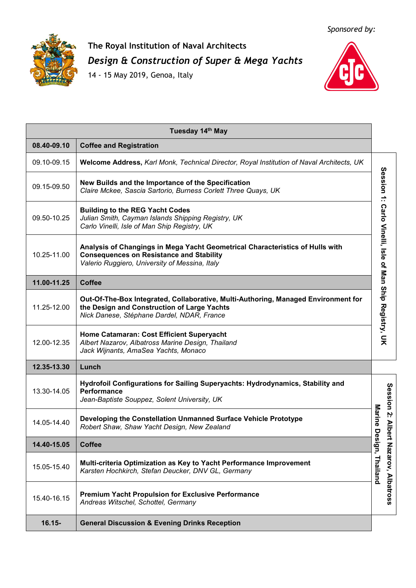*Sponsored by:*



## **The Royal Institution of Naval Architects** *Design & Construction of Super & Mega Yachts*

14 - 15 May 2019, Genoa, Italy



|             | Tuesday 14th May                                                                                                                                                                   |                                                         |                       |
|-------------|------------------------------------------------------------------------------------------------------------------------------------------------------------------------------------|---------------------------------------------------------|-----------------------|
| 08.40-09.10 | <b>Coffee and Registration</b>                                                                                                                                                     |                                                         |                       |
| 09.10-09.15 | Welcome Address, Karl Monk, Technical Director, Royal Institution of Naval Architects, UK                                                                                          |                                                         |                       |
| 09.15-09.50 | New Builds and the Importance of the Specification<br>Claire Mckee, Sascia Sartorio, Burness Corlett Three Quays, UK                                                               |                                                         |                       |
| 09.50-10.25 | <b>Building to the REG Yacht Codes</b><br>Julian Smith, Cayman Islands Shipping Registry, UK<br>Carlo Vinelli, Isle of Man Ship Registry, UK                                       |                                                         |                       |
| 10.25-11.00 | Analysis of Changings in Mega Yacht Geometrical Characteristics of Hulls with<br><b>Consequences on Resistance and Stability</b><br>Valerio Ruggiero, University of Messina, Italy | Session 1: Carlo Vinelli, Isle of Man Ship Registry, UK |                       |
| 11.00-11.25 | <b>Coffee</b>                                                                                                                                                                      |                                                         |                       |
| 11.25-12.00 | Out-Of-The-Box Integrated, Collaborative, Multi-Authoring, Managed Environment for<br>the Design and Construction of Large Yachts<br>Nick Danese, Stéphane Dardel, NDAR, France    |                                                         |                       |
| 12.00-12.35 | Home Catamaran: Cost Efficient Superyacht<br>Albert Nazarov, Albatross Marine Design, Thailand<br>Jack Wijnants, AmaSea Yachts, Monaco                                             |                                                         |                       |
| 12.35-13.30 | Lunch                                                                                                                                                                              |                                                         |                       |
| 13.30-14.05 | Hydrofoil Configurations for Sailing Superyachts: Hydrodynamics, Stability and<br><b>Performance</b><br>Jean-Baptiste Souppez, Solent University, UK                               |                                                         |                       |
| 14.05-14.40 | Developing the Constellation Unmanned Surface Vehicle Prototype<br>Robert Shaw, Shaw Yacht Design, New Zealand                                                                     | Marine<br>$\overline{a}$                                | Session 2: Albe       |
| 14.40-15.05 | <b>Coffee</b>                                                                                                                                                                      |                                                         |                       |
| 15.05-15.40 | Multi-criteria Optimization as Key to Yacht Performance Improvement<br>Karsten Hochkirch, Stefan Deucker, DNV GL, Germany                                                          | esign, Thailand                                         | rt Nazarov, Albatross |
| 15.40-16.15 | <b>Premium Yacht Propulsion for Exclusive Performance</b><br>Andreas Witschel, Schottel, Germany                                                                                   |                                                         |                       |
| $16.15 -$   | <b>General Discussion &amp; Evening Drinks Reception</b>                                                                                                                           |                                                         |                       |